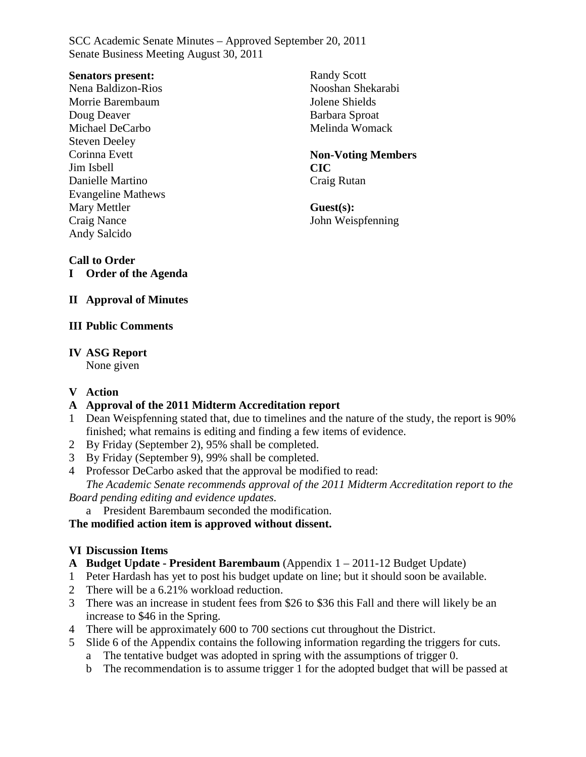#### **Senators present:**

Nena Baldizon-Rios Morrie Barembaum Doug Deaver Michael DeCarbo Steven Deeley Corinna Evett Jim Isbell Danielle Martino Evangeline Mathews Mary Mettler Craig Nance Andy Salcido

Randy Scott Nooshan Shekarabi Jolene Shields Barbara Sproat Melinda Womack

#### **Non-Voting Members CIC** Craig Rutan

**Guest(s):** John Weispfenning

### **Call to Order**

**I Order of the Agenda**

### **II Approval of Minutes**

#### **III Public Comments**

#### **IV ASG Report**

None given

### **V Action**

### **A Approval of the 2011 Midterm Accreditation report**

- 1 Dean Weispfenning stated that, due to timelines and the nature of the study, the report is 90% finished; what remains is editing and finding a few items of evidence.
- 2 By Friday (September 2), 95% shall be completed.
- 3 By Friday (September 9), 99% shall be completed.
- 4 Professor DeCarbo asked that the approval be modified to read:

*The Academic Senate recommends approval of the 2011 Midterm Accreditation report to the Board pending editing and evidence updates.*

a President Barembaum seconded the modification.

### **The modified action item is approved without dissent.**

### **VI Discussion Items**

- **A Budget Update - President Barembaum** (Appendix 1 2011-12 Budget Update)
- 1 Peter Hardash has yet to post his budget update on line; but it should soon be available.
- 2 There will be a 6.21% workload reduction.
- 3 There was an increase in student fees from \$26 to \$36 this Fall and there will likely be an increase to \$46 in the Spring.
- 4 There will be approximately 600 to 700 sections cut throughout the District.
- 5 Slide 6 of the Appendix contains the following information regarding the triggers for cuts.
	- a The tentative budget was adopted in spring with the assumptions of trigger 0.
	- b The recommendation is to assume trigger 1 for the adopted budget that will be passed at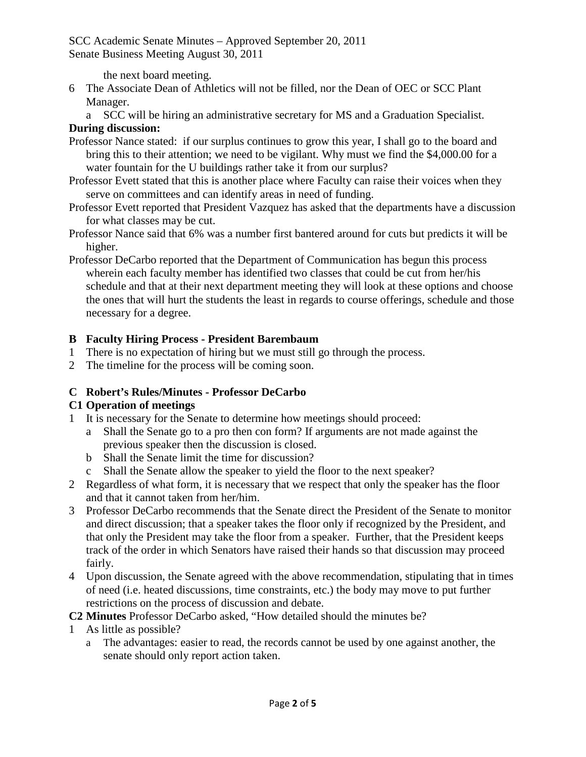the next board meeting.

- 6 The Associate Dean of Athletics will not be filled, nor the Dean of OEC or SCC Plant Manager.
	- a SCC will be hiring an administrative secretary for MS and a Graduation Specialist.

#### **During discussion:**

- Professor Nance stated: if our surplus continues to grow this year, I shall go to the board and bring this to their attention; we need to be vigilant. Why must we find the \$4,000.00 for a water fountain for the U buildings rather take it from our surplus?
- Professor Evett stated that this is another place where Faculty can raise their voices when they serve on committees and can identify areas in need of funding.
- Professor Evett reported that President Vazquez has asked that the departments have a discussion for what classes may be cut.
- Professor Nance said that 6% was a number first bantered around for cuts but predicts it will be higher.
- Professor DeCarbo reported that the Department of Communication has begun this process wherein each faculty member has identified two classes that could be cut from her/his schedule and that at their next department meeting they will look at these options and choose the ones that will hurt the students the least in regards to course offerings, schedule and those necessary for a degree.

### **B Faculty Hiring Process - President Barembaum**

- 1 There is no expectation of hiring but we must still go through the process.
- 2 The timeline for the process will be coming soon.

### **C Robert's Rules/Minutes - Professor DeCarbo**

### **C1 Operation of meetings**

- 1 It is necessary for the Senate to determine how meetings should proceed:
	- a Shall the Senate go to a pro then con form? If arguments are not made against the previous speaker then the discussion is closed.
	- b Shall the Senate limit the time for discussion?
	- c Shall the Senate allow the speaker to yield the floor to the next speaker?
- 2 Regardless of what form, it is necessary that we respect that only the speaker has the floor and that it cannot taken from her/him.
- 3 Professor DeCarbo recommends that the Senate direct the President of the Senate to monitor and direct discussion; that a speaker takes the floor only if recognized by the President, and that only the President may take the floor from a speaker. Further, that the President keeps track of the order in which Senators have raised their hands so that discussion may proceed fairly.
- 4 Upon discussion, the Senate agreed with the above recommendation, stipulating that in times of need (i.e. heated discussions, time constraints, etc.) the body may move to put further restrictions on the process of discussion and debate.

**C2 Minutes** Professor DeCarbo asked, "How detailed should the minutes be?

- 1 As little as possible?
	- a The advantages: easier to read, the records cannot be used by one against another, the senate should only report action taken.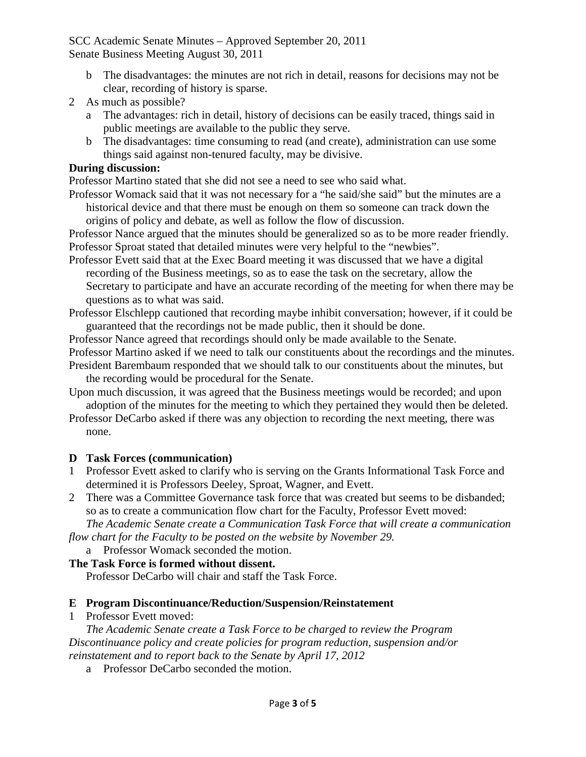- b The disadvantages: the minutes are not rich in detail, reasons for decisions may not be clear, recording of history is sparse.
- 2 As much as possible?
	- a The advantages: rich in detail, history of decisions can be easily traced, things said in public meetings are available to the public they serve.
	- b The disadvantages: time consuming to read (and create), administration can use some things said against non-tenured faculty, may be divisive.

#### **During discussion:**

Professor Martino stated that she did not see a need to see who said what.

Professor Womack said that it was not necessary for a "he said/she said" but the minutes are a historical device and that there must be enough on them so someone can track down the origins of policy and debate, as well as follow the flow of discussion.

Professor Nance argued that the minutes should be generalized so as to be more reader friendly. Professor Sproat stated that detailed minutes were very helpful to the "newbies".

- Professor Evett said that at the Exec Board meeting it was discussed that we have a digital recording of the Business meetings, so as to ease the task on the secretary, allow the Secretary to participate and have an accurate recording of the meeting for when there may be questions as to what was said.
- Professor Elschlepp cautioned that recording maybe inhibit conversation; however, if it could be guaranteed that the recordings not be made public, then it should be done.

Professor Nance agreed that recordings should only be made available to the Senate.

Professor Martino asked if we need to talk our constituents about the recordings and the minutes.

- President Barembaum responded that we should talk to our constituents about the minutes, but the recording would be procedural for the Senate.
- Upon much discussion, it was agreed that the Business meetings would be recorded; and upon adoption of the minutes for the meeting to which they pertained they would then be deleted.

Professor DeCarbo asked if there was any objection to recording the next meeting, there was none.

### **D Task Forces (communication)**

1 Professor Evett asked to clarify who is serving on the Grants Informational Task Force and determined it is Professors Deeley, Sproat, Wagner, and Evett.

2 There was a Committee Governance task force that was created but seems to be disbanded; so as to create a communication flow chart for the Faculty, Professor Evett moved:

*The Academic Senate create a Communication Task Force that will create a communication flow chart for the Faculty to be posted on the website by November 29.*

### a Professor Womack seconded the motion.

### **The Task Force is formed without dissent.**

Professor DeCarbo will chair and staff the Task Force.

### **E Program Discontinuance/Reduction/Suspension/Reinstatement**

1 Professor Evett moved:

*The Academic Senate create a Task Force to be charged to review the Program Discontinuance policy and create policies for program reduction, suspension and/or reinstatement and to report back to the Senate by April 17, 2012*

a Professor DeCarbo seconded the motion.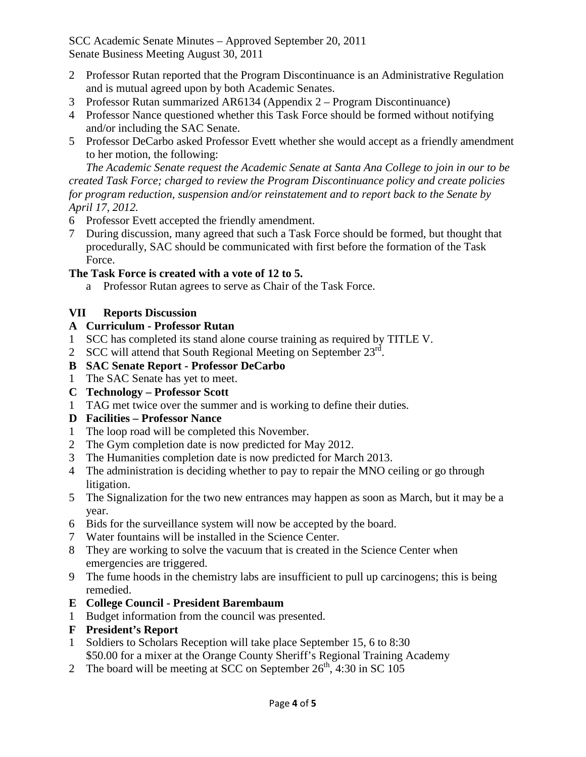- 2 Professor Rutan reported that the Program Discontinuance is an Administrative Regulation and is mutual agreed upon by both Academic Senates.
- 3 Professor Rutan summarized AR6134 (Appendix 2 Program Discontinuance)
- 4 Professor Nance questioned whether this Task Force should be formed without notifying and/or including the SAC Senate.
- 5 Professor DeCarbo asked Professor Evett whether she would accept as a friendly amendment to her motion, the following:

*The Academic Senate request the Academic Senate at Santa Ana College to join in our to be created Task Force; charged to review the Program Discontinuance policy and create policies for program reduction, suspension and/or reinstatement and to report back to the Senate by April 17, 2012.*

- 6 Professor Evett accepted the friendly amendment.
- 7 During discussion, many agreed that such a Task Force should be formed, but thought that procedurally, SAC should be communicated with first before the formation of the Task Force.

## **The Task Force is created with a vote of 12 to 5.**

a Professor Rutan agrees to serve as Chair of the Task Force.

### **VII Reports Discussion**

### **A Curriculum - Professor Rutan**

- 1 SCC has completed its stand alone course training as required by TITLE V.
- 2 SCC will attend that South Regional Meeting on September  $23<sup>rd</sup>$ .

## **B SAC Senate Report - Professor DeCarbo**

- 1 The SAC Senate has yet to meet.
- **C Technology – Professor Scott**
- 1 TAG met twice over the summer and is working to define their duties.

# **D Facilities – Professor Nance**

- 1 The loop road will be completed this November.
- 2 The Gym completion date is now predicted for May 2012.
- 3 The Humanities completion date is now predicted for March 2013.
- 4 The administration is deciding whether to pay to repair the MNO ceiling or go through litigation.
- 5 The Signalization for the two new entrances may happen as soon as March, but it may be a year.
- 6 Bids for the surveillance system will now be accepted by the board.
- 7 Water fountains will be installed in the Science Center.
- 8 They are working to solve the vacuum that is created in the Science Center when emergencies are triggered.
- 9 The fume hoods in the chemistry labs are insufficient to pull up carcinogens; this is being remedied.

# **E College Council - President Barembaum**

- 1 Budget information from the council was presented.
- **F President's Report**
- 1 Soldiers to Scholars Reception will take place September 15, 6 to 8:30 \$50.00 for a mixer at the Orange County Sheriff's Regional Training Academy
- 2 The board will be meeting at SCC on September  $26<sup>th</sup>$ , 4:30 in SC 105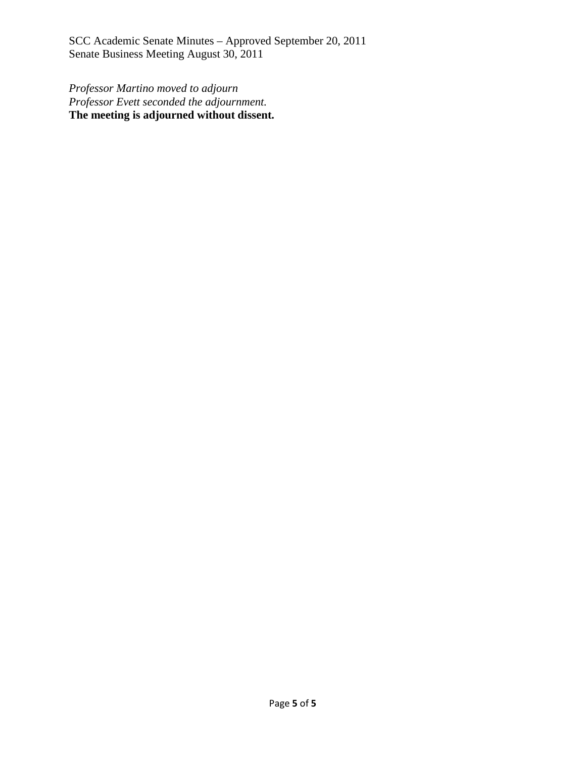*Professor Martino moved to adjourn Professor Evett seconded the adjournment.* **The meeting is adjourned without dissent.**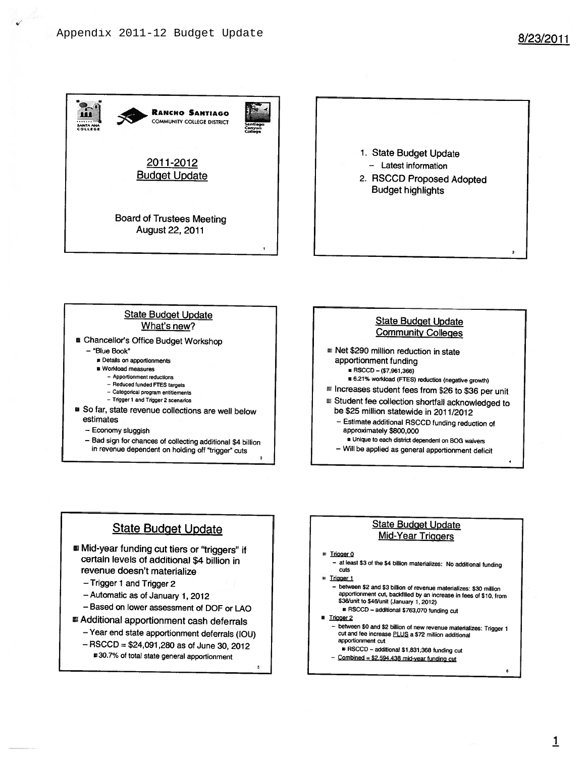

#### **State Budget Update** What's new?

- Chancellor's Office Budget Workshop
	- "Blue Book"
		- **B** Details on apportionments
		- Workload measures
			- Apportionment reductions
			- Reduced funded FTES targets
			- Categorical program entitlements
			- Trigger 1 and Trigger 2 scenarios
- So far, state revenue collections are well below estimates
	- Economy sluggish
	- Bad sign for chances of collecting additional \$4 billion in revenue dependent on holding off "trigger" cuts



- Net \$290 million reduction in state apportionment funding ■ RSCCD - (\$7,961,366)
	- # 6.21% workload (FTES) reduction (negative growth)
- lincreases student fees from \$26 to \$36 per unit Student fee collection shortfall acknowledged to
- be \$25 million statewide in 2011/2012
- Estimate additional RSCCD funding reduction of approximately \$800,000
- Unique to each district dependent on BOG waivers - Will be applied as general apportionment deficit

### **State Budget Update**

- Mid-year funding cut tiers or "triggers" if certain levels of additional \$4 billion in revenue doesn't materialize
	- Trigger 1 and Trigger 2
	- Automatic as of January 1, 2012
	- Based on lower assessment of DOF or LAO
- Additional apportionment cash deferrals
	- Year end state apportionment deferrals (IOU)
	- $-$  RSCCD = \$24,091,280 as of June 30, 2012
		- #30.7% of total state general apportionment

#### **State Budget Update Mid-Year Triggers**

#### ■ Trigger 0

- at least \$3 of the \$4 billion materializes: No additional funding cuts
- Trigger 1
	- between \$2 and \$3 billion of revenue materializes: \$30 million apportionment cut, backfilled by an increase in fees of \$10, from \$36/unit to \$46/unit (January 1, 2012) RSCCD - additional \$763,070 funding cut
- **8** Trigger 2
	- between \$0 and \$2 billion of new revenue materializes: Trigger 1 cut and fee increase PLUS a \$72 million additional apportionment cut
	- B RSCCD additional \$1,831,368 funding cut
	- $-$  Combined = \$2,594.438 mid-year funding cut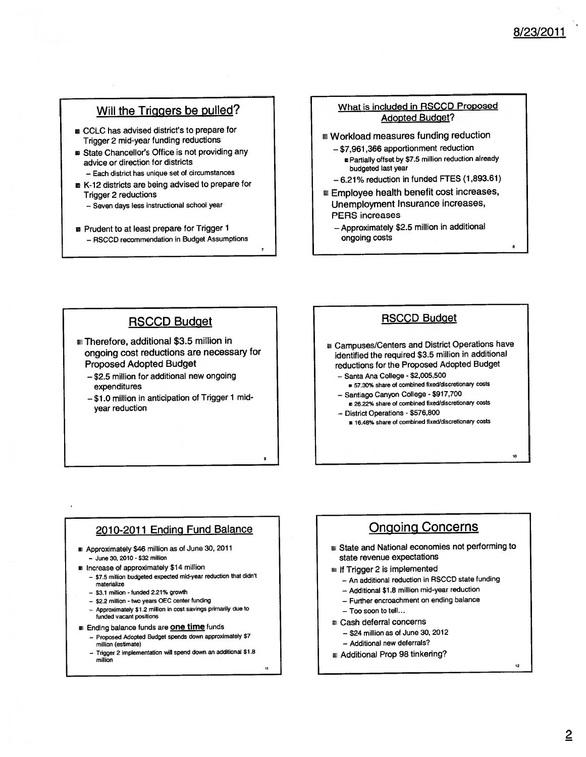# 8/23/2011

#### Will the Triggers be pulled?

- CCLC has advised district's to prepare for Trigger 2 mid-year funding reductions
- State Chancellor's Office is not providing any advice or direction for districts - Each district has unique set of circumstances
- K-12 districts are being advised to prepare for **Trigger 2 reductions** 
	- Seven days less instructional school year
- Prudent to at least prepare for Trigger 1 - RSCCD recommendation in Budget Assumptions

#### What is included in RSCCD Proposed **Adopted Budget?**

- Workload measures funding reduction
	- \$7,961,366 apportionment reduction ■ Partially offset by \$7.5 million reduction already budgeted last year
	- $-6.21\%$  reduction in funded FTES (1,893.61)
- Employee health benefit cost increases, Unemployment Insurance increases, **PERS** increases
	- Approximately \$2.5 million in additional ongoing costs

#### **RSCCD Budget**

- Therefore, additional \$3.5 million in ongoing cost reductions are necessary for **Proposed Adopted Budget** 
	- -\$2.5 million for additional new ongoing expenditures
	- -\$1.0 million in anticipation of Trigger 1 midyear reduction

#### **RSCCD Budget**

- Gampuses/Centers and District Operations have identified the required \$3.5 million in additional reductions for the Proposed Adopted Budget
	- Santa Ana College \$2,005,500
	- # 57.30% share of combined fixed/discretionary costs - Santiago Canyon College - \$917,700
	- 26.22% share of combined fixed/discretionary costs - District Operations - \$576,800
	- # 16.48% share of combined fixed/discretionary costs

#### 2010-2011 Ending Fund Balance

- Approximately \$46 million as of June 30, 2011 - June 30, 2010 - \$32 million
- Increase of approximately \$14 million
	- \$7.5 million budgeted expected mid-year reduction that didn't materialize
	- \$3.1 million funded 2.21% growth
	- \$2.2 million two years OEC center funding
	- Approximately \$1.2 million in cost savings primarily due to funded vacant positions
- **Ending balance funds are one time funds** 
	- Proposed Adopted Budget spends down approximately \$7 million (estimate)
	- Trigger 2 implementation will spend down an additional \$1.8 million

### **Ongoing Concerns**

- State and National economies not performing to state revenue expectations
- If Trigger 2 is implemented
	- An additional reduction in RSCCD state funding
	- Additional \$1.8 million mid-year reduction
	- Further encroachment on ending balance
	- Too soon to tell...
- Cash deferral concerns
	- $-$  \$24 million as of June 30, 2012
	- Additional new deferrals?
- Additional Prop 98 tinkering?

12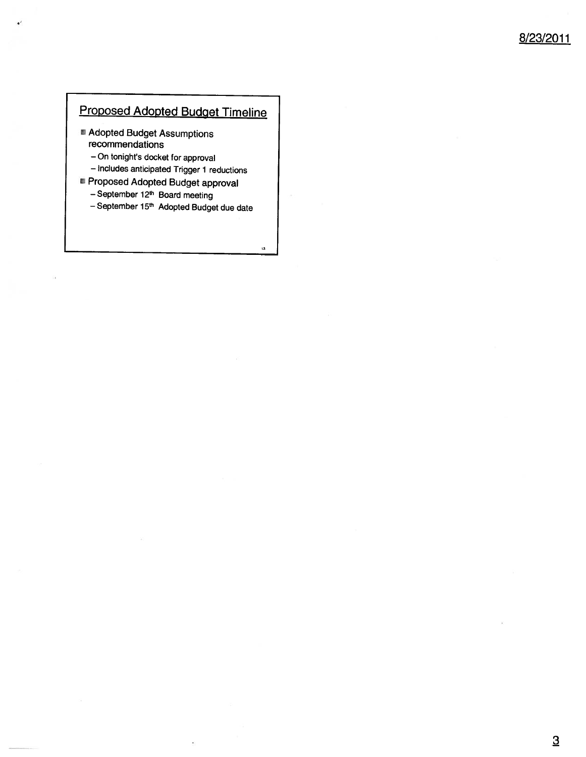# Proposed Adopted Budget Timeline

- Adopted Budget Assumptions recommendations
	- On tonight's docket for approval
	- Includes anticipated Trigger 1 reductions
- Proposed Adopted Budget approval
	- September 12th Board meeting
	- September 15<sup>th</sup> Adopted Budget due date

13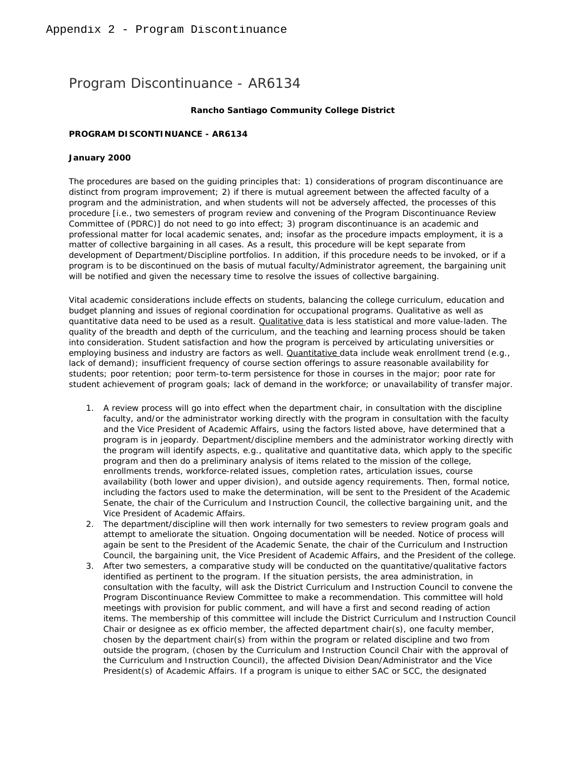# Program Discontinuance - AR6134

#### **Rancho Santiago Community College District**

#### **PROGRAM DISCONTINUANCE - AR6134**

#### **January 2000**

The procedures are based on the guiding principles that: 1) considerations of program discontinuance are distinct from program improvement; 2) if there is mutual agreement between the affected faculty of a program and the administration, and when students will not be adversely affected, the processes of this procedure [i.e., two semesters of program review and convening of the Program Discontinuance Review Committee of (PDRC)] do not need to go into effect; 3) program discontinuance is an academic and professional matter for local academic senates, and; insofar as the procedure impacts employment, it is a matter of collective bargaining in all cases. As a result, this procedure will be kept separate from development of Department/Discipline portfolios. In addition, if this procedure needs to be invoked, or if a program is to be discontinued on the basis of mutual faculty/Administrator agreement, the bargaining unit will be notified and given the necessary time to resolve the issues of collective bargaining.

Vital academic considerations include effects on students, balancing the college curriculum, education and budget planning and issues of regional coordination for occupational programs. Qualitative as well as quantitative data need to be used as a result. Qualitative data is less statistical and more value-laden. The quality of the breadth and depth of the curriculum, and the teaching and learning process should be taken into consideration. Student satisfaction and how the program is perceived by articulating universities or employing business and industry are factors as well. **Quantitative data include weak enrollment trend (e.g.,** lack of demand); insufficient frequency of course section offerings to assure reasonable availability for students; poor retention; poor term-to-term persistence for those in courses in the major; poor rate for student achievement of program goals; lack of demand in the workforce; or unavailability of transfer major.

- 1. A review process will go into effect when the department chair, in consultation with the discipline faculty, and/or the administrator working directly with the program in consultation with the faculty and the Vice President of Academic Affairs, using the factors listed above, have determined that a program is in jeopardy. Department/discipline members and the administrator working directly with the program will identify aspects, e.g., qualitative and quantitative data, which apply to the specific program and then do a preliminary analysis of items related to the mission of the college, enrollments trends, workforce-related issues, completion rates, articulation issues, course availability (both lower and upper division), and outside agency requirements. Then, formal notice, including the factors used to make the determination, will be sent to the President of the Academic Senate, the chair of the Curriculum and Instruction Council, the collective bargaining unit, and the Vice President of Academic Affairs.
- 2. The department/discipline will then work internally for two semesters to review program goals and attempt to ameliorate the situation. Ongoing documentation will be needed. Notice of process will again be sent to the President of the Academic Senate, the chair of the Curriculum and Instruction Council, the bargaining unit, the Vice President of Academic Affairs, and the President of the college.
- 3. After two semesters, a comparative study will be conducted on the quantitative/qualitative factors identified as pertinent to the program. If the situation persists, the area administration, in consultation with the faculty, will ask the District Curriculum and Instruction Council to convene the Program Discontinuance Review Committee to make a recommendation. This committee will hold meetings with provision for public comment, and will have a first and second reading of action items. The membership of this committee will include the District Curriculum and Instruction Council Chair or designee as ex officio member, the affected department chair(s), one faculty member, chosen by the department chair(s) from within the program or related discipline and two from outside the program, (chosen by the Curriculum and Instruction Council Chair with the approval of the Curriculum and Instruction Council), the affected Division Dean/Administrator and the Vice President(s) of Academic Affairs. If a program is unique to either SAC or SCC, the designated